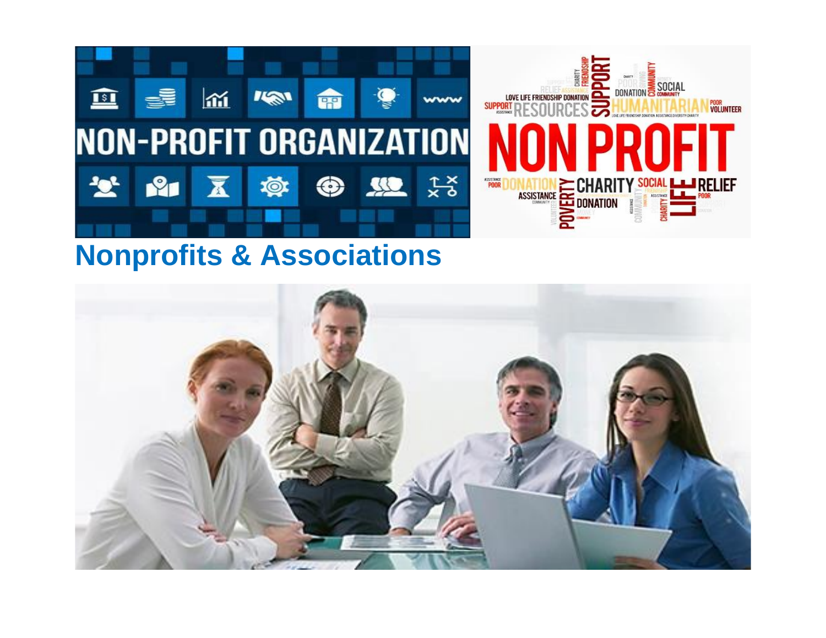

## **Nonprofits & Associations**

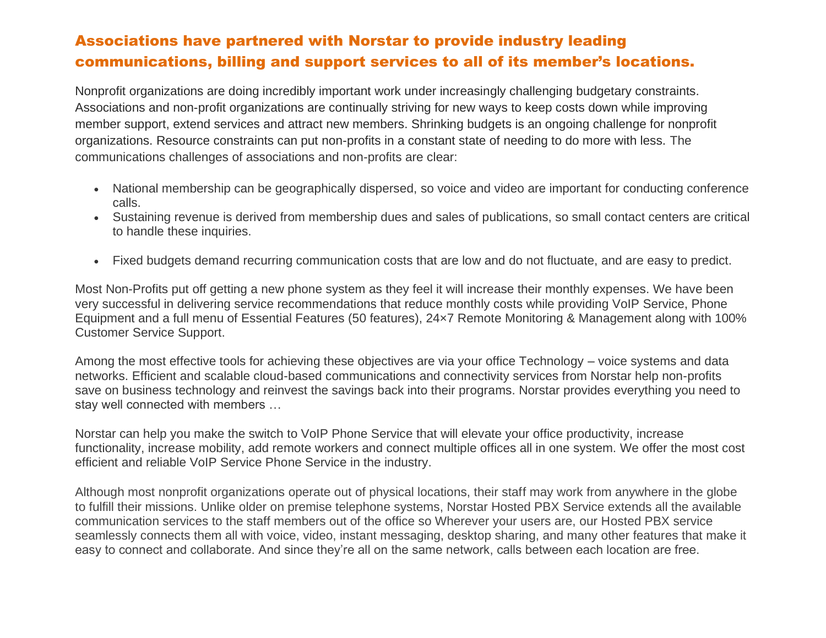#### Associations have partnered with Norstar to provide industry leading communications, billing and support services to all of its member's locations.

Nonprofit organizations are doing incredibly important work under increasingly challenging budgetary constraints. Associations and non-profit organizations are continually striving for new ways to keep costs down while improving member support, extend services and attract new members. Shrinking budgets is an ongoing challenge for nonprofit organizations. Resource constraints can put non-profits in a constant state of needing to do more with less. The communications challenges of associations and non-profits are clear:

- National membership can be geographically dispersed, so voice and video are important for conducting conference calls.
- Sustaining revenue is derived from membership dues and sales of publications, so small contact centers are critical to handle these inquiries.
- Fixed budgets demand recurring communication costs that are low and do not fluctuate, and are easy to predict.

Most Non-Profits put off getting a new phone system as they feel it will increase their monthly expenses. We have been very successful in delivering service recommendations that reduce monthly costs while providing VoIP Service, Phone Equipment and a full menu of Essential Features (50 features), 24×7 Remote Monitoring & Management along with 100% Customer Service Support.

Among the most effective tools for achieving these objectives are via your office Technology – voice systems and data networks. Efficient and scalable cloud-based communications and connectivity services from Norstar help non-profits save on business technology and reinvest the savings back into their programs. Norstar provides everything you need to stay well connected with members …

Norstar can help you make the switch to VoIP Phone Service that will elevate your office productivity, increase functionality, increase mobility, add remote workers and connect multiple offices all in one system. We offer the most cost efficient and reliable VoIP Service Phone Service in the industry.

Although most nonprofit organizations operate out of physical locations, their staff may work from anywhere in the globe to fulfill their missions. Unlike older on premise telephone systems, Norstar Hosted PBX Service extends all the available communication services to the staff members out of the office so Wherever your users are, our Hosted PBX service seamlessly connects them all with voice, video, instant messaging, desktop sharing, and many other features that make it easy to connect and collaborate. And since they're all on the same network, calls between each location are free.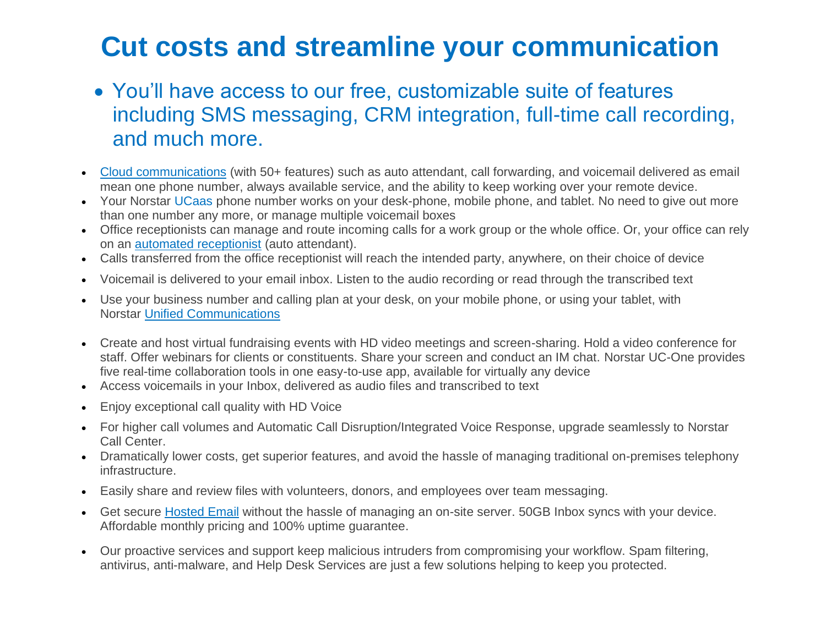# **Cut costs and streamline your communication**

- You'll have access to our free, customizable suite of features including SMS messaging, CRM integration, full-time call recording, and much more.
- [Cloud communications](https://www.norstartelecom.com/voice/unified-communications/) (with 50+ features) such as auto attendant, call forwarding, and voicemail delivered as email mean one phone number, always available service, and the ability to keep working over your remote device.
- Your Norstar UCaas phone number works on your desk-phone, mobile phone, and tablet. No need to give out more than one number any more, or manage multiple voicemail boxes
- Office receptionists can manage and route incoming calls for a work group or the whole office. Or, your office can rely on an [automated receptionist](https://www.norstartelecom.com/voice/hosted-pbx/features/) (auto attendant).
- Calls transferred from the office receptionist will reach the intended party, anywhere, on their choice of device
- Voicemail is delivered to your email inbox. Listen to the audio recording or read through the transcribed text
- Use your business number and calling plan at your desk, on your mobile phone, or using your tablet, with Norstar [Unified Communications](https://www.norstatelecom.com/voice/unified-communications/)
- Create and host virtual fundraising events with HD video meetings and screen-sharing. Hold a video conference for staff. Offer webinars for clients or constituents. Share your screen and conduct an IM chat. Norstar UC-One provides five real-time collaboration tools in one easy-to-use app, available for virtually any device
- Access voicemails in your Inbox, delivered as audio files and transcribed to text
- Enjoy exceptional call quality with HD Voice
- For higher call volumes and Automatic Call Disruption/Integrated Voice Response, upgrade seamlessly to Norstar Call Center.
- Dramatically lower costs, get superior features, and avoid the hassle of managing traditional on-premises telephony infrastructure.
- Easily share and review files with volunteers, donors, and employees over team messaging.
- Get secure [Hosted Email](https://www.norstatelecom.com/cloud-it/hosted-exchange/) without the hassle of managing an on-site server. 50GB Inbox syncs with your device. Affordable monthly pricing and 100% uptime guarantee.
- Our proactive services and support keep malicious intruders from compromising your workflow. Spam filtering, antivirus, anti-malware, and Help Desk Services are just a few solutions helping to keep you protected.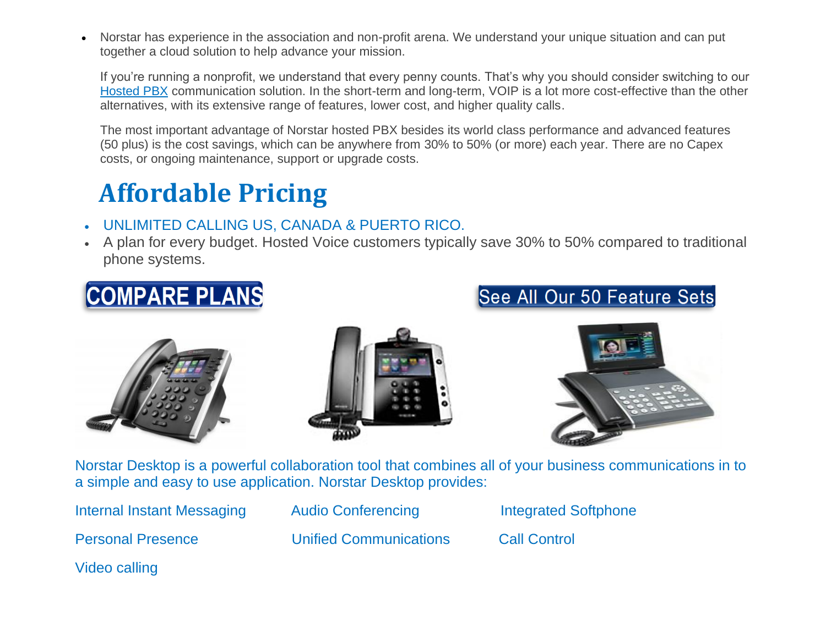• Norstar has experience in the association and non-profit arena. We understand your unique situation and can put together a cloud solution to help advance your mission.

If you're running a nonprofit, we understand that every penny counts. That's why you should consider switching to our [Hosted](https://www.norstatelecom.com/voice/hosted-pbx/) PBX communication solution. In the short-term and long-term, VOIP is a lot more cost-effective than the other alternatives, with its extensive range of features, lower cost, and higher quality calls.

The most important advantage of Norstar hosted PBX besides its world class performance and advanced features (50 plus) is the cost savings, which can be anywhere from 30% to 50% (or more) each year. There are no Capex costs, or ongoing maintenance, support or upgrade costs.

# **Affordable Pricing**

- UNLIMITED CALLING US, CANADA & PUERTO RICO.
- A plan for every budget. Hosted Voice customers typically save 30% to 50% compared to traditional phone systems.











Norstar Desktop is a powerful collaboration tool that combines all of your business communications in to a simple and easy to use application. Norstar Desktop provides:

Internal Instant Messaging Audio Conferencing The Integrated Softphone Personal Presence Unified Communications Call Control

Video calling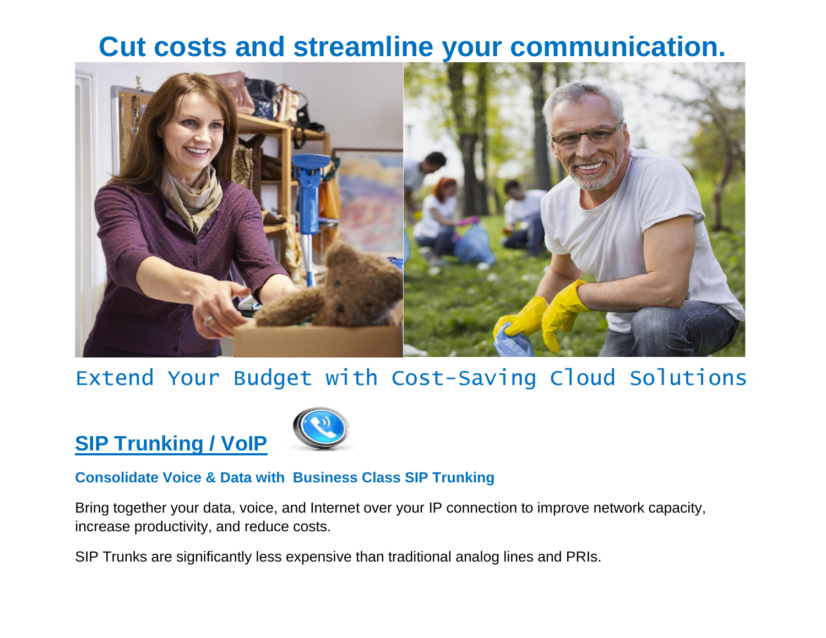### **Cut costs and streamline your communication.**



#### Extend Your Budget with Cost-Saving Cloud Solutions

# **SIP Trunking / VoIP**



#### **Consolidate Voice & Data with Business Class SIP Trunking**

Bring together your data, voice, and Internet over your IP connection to improve network capacity, increase productivity, and reduce costs.

SIP Trunks are significantly less expensive than traditional analog lines and PRIs.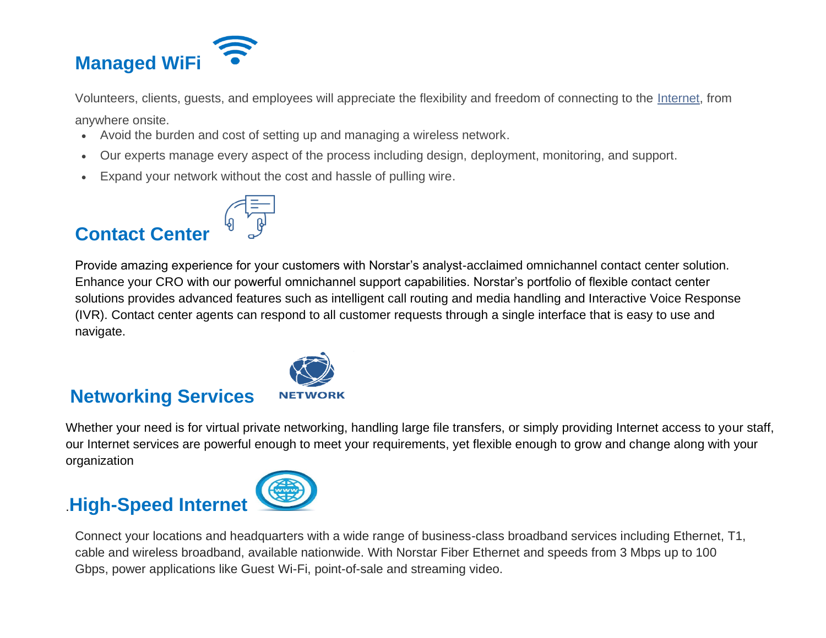

Volunteers, clients, guests, and employees will appreciate the flexibility and freedom of connecting to the [Internet,](https://www.norstartelecom.com/network&data/internet/) from

anywhere onsite.

- Avoid the burden and cost of setting up and managing a wireless network.
- Our experts manage every aspect of the process including design, deployment, monitoring, and support.
- Expand your network without the cost and hassle of pulling wire.

#### **Contact Center**



Provide amazing experience for your customers with Norstar's analyst-acclaimed omnichannel contact center solution. Enhance your CRO with our powerful omnichannel support capabilities. Norstar's portfolio of flexible contact center solutions provides advanced features such as intelligent call routing and media handling and Interactive Voice Response (IVR). Contact center agents can respond to all customer requests through a single interface that is easy to use and navigate.



#### **Networking Services**

Whether your need is for virtual private networking, handling large file transfers, or simply providing Internet access to your staff, our Internet services are powerful enough to meet your requirements, yet flexible enough to grow and change along with your organization

#### .**High-Speed Internet**



Connect your locations and headquarters with a wide range of business-class broadband services including Ethernet, T1, cable and wireless broadband, available nationwide. With Norstar Fiber Ethernet and speeds from 3 Mbps up to 100 Gbps, power applications like Guest Wi-Fi, point-of-sale and streaming video.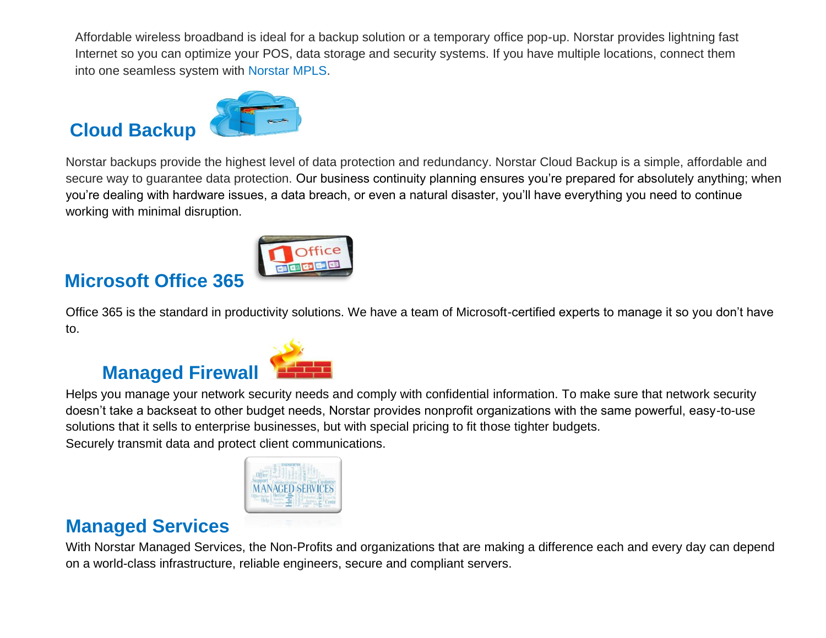Affordable wireless broadband is ideal for a backup solution or a temporary office pop-up. Norstar provides lightning fast Internet so you can optimize your POS, data storage and security systems. If you have multiple locations, connect them into one seamless system with Norstar MPLS.

### **Cloud Backup**

Norstar backups provide the highest level of data protection and redundancy. Norstar Cloud Backup is a simple, affordable and secure way to guarantee data protection. Our business continuity planning ensures you're prepared for absolutely anything; when you're dealing with hardware issues, a data breach, or even a natural disaster, you'll have everything you need to continue working with minimal disruption.

# **Microsoft Office 365**

Office 365 is the standard in productivity solutions. We have a team of Microsoft-certified experts to manage it so you don't have to.

# **Managed Firewall**

Helps you manage your network security needs and comply with confidential information. To make sure that network security doesn't take a backseat to other budget needs, Norstar provides nonprofit organizations with the same powerful, easy-to-use solutions that it sells to enterprise businesses, but with special pricing to fit those tighter budgets. Securely transmit data and protect client communications.



#### **Managed Services**

With Norstar Managed Services, the Non-Profits and organizations that are making a difference each and every day can depend on a world-class infrastructure, reliable engineers, secure and compliant servers.